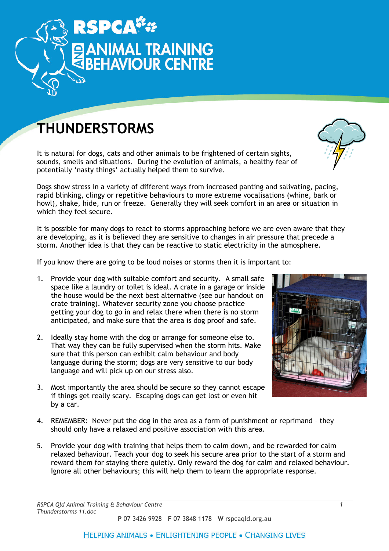

## THUNDERSTORMS

It is natural for dogs, cats and other animals to be frightened of certain sights, sounds, smells and situations. During the evolution of animals, a healthy fear of potentially 'nasty things' actually helped them to survive.

Dogs show stress in a variety of different ways from increased panting and salivating, pacing, rapid blinking, clingy or repetitive behaviours to more extreme vocalisations (whine, bark or howl), shake, hide, run or freeze. Generally they will seek comfort in an area or situation in which they feel secure.

It is possible for many dogs to react to storms approaching before we are even aware that they are developing, as it is believed they are sensitive to changes in air pressure that precede a storm. Another idea is that they can be reactive to static electricity in the atmosphere.

If you know there are going to be loud noises or storms then it is important to:

- 1. Provide your dog with suitable comfort and security. A small safe space like a laundry or toilet is ideal. A crate in a garage or inside the house would be the next best alternative (see our handout on crate training). Whatever security zone you choose practice getting your dog to go in and relax there when there is no storm anticipated, and make sure that the area is dog proof and safe.
- 2. Ideally stay home with the dog or arrange for someone else to. That way they can be fully supervised when the storm hits. Make sure that this person can exhibit calm behaviour and body language during the storm; dogs are very sensitive to our body language and will pick up on our stress also.
- 3. Most importantly the area should be secure so they cannot escape if things get really scary. Escaping dogs can get lost or even hit by a car.



- 4. REMEMBER: Never put the dog in the area as a form of punishment or reprimand they should only have a relaxed and positive association with this area.
- 5. Provide your dog with training that helps them to calm down, and be rewarded for calm relaxed behaviour. Teach your dog to seek his secure area prior to the start of a storm and reward them for staying there quietly. Only reward the dog for calm and relaxed behaviour. Ignore all other behaviours; this will help them to learn the appropriate response.

## **HELPING ANIMALS . ENLIGHTENING PEOPLE . CHANGING LIVES**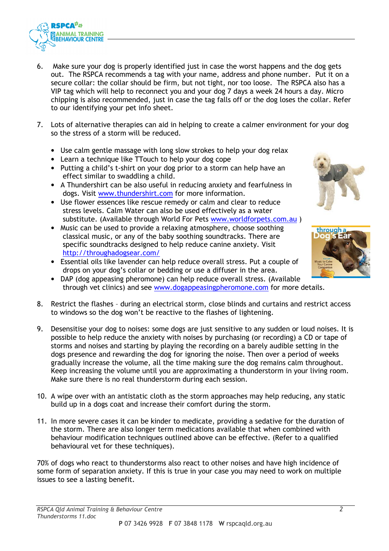

- 6. Make sure your dog is properly identified just in case the worst happens and the dog gets out. The RSPCA recommends a tag with your name, address and phone number. Put it on a secure collar: the collar should be firm, but not tight, nor too loose. The RSPCA also has a VIP tag which will help to reconnect you and your dog 7 days a week 24 hours a day. Micro chipping is also recommended, just in case the tag falls off or the dog loses the collar. Refer to our identifying your pet info sheet.
- 7. Lots of alternative therapies can aid in helping to create a calmer environment for your dog so the stress of a storm will be reduced.
	- Use calm gentle massage with long slow strokes to help your dog relax
	- Learn a technique like TTouch to help your dog cope
	- Putting a child's t-shirt on your dog prior to a storm can help have an effect similar to swaddling a child.
	- A Thundershirt can be also useful in reducing anxiety and fearfulness in dogs. Visit www.thundershirt.com for more information.
	- Use flower essences like rescue remedy or calm and clear to reduce stress levels. Calm Water can also be used effectively as a water substitute. (Available through World For Pets www.worldforpets.com.au)
	- Music can be used to provide a relaxing atmosphere, choose soothing classical music, or any of the baby soothing soundtracks. There are specific soundtracks designed to help reduce canine anxiety. Visit http://throughadogsear.com/
	- Essential oils like lavender can help reduce overall stress. Put a couple of drops on your dog's collar or bedding or use a diffuser in the area.
	- DAP (dog appeasing pheromone) can help reduce overall stress. (Available through vet clinics) and see www.dogappeasingpheromone.com for more details.
- 8. Restrict the flashes during an electrical storm, close blinds and curtains and restrict access to windows so the dog won't be reactive to the flashes of lightening.
- 9. Desensitise your dog to noises: some dogs are just sensitive to any sudden or loud noises. It is possible to help reduce the anxiety with noises by purchasing (or recording) a CD or tape of storms and noises and starting by playing the recording on a barely audible setting in the dogs presence and rewarding the dog for ignoring the noise. Then over a period of weeks gradually increase the volume, all the time making sure the dog remains calm throughout. Keep increasing the volume until you are approximating a thunderstorm in your living room. Make sure there is no real thunderstorm during each session.
- 10. A wipe over with an antistatic cloth as the storm approaches may help reducing, any static build up in a dogs coat and increase their comfort during the storm.
- 11. In more severe cases it can be kinder to medicate, providing a sedative for the duration of the storm. There are also longer term medications available that when combined with behaviour modification techniques outlined above can be effective. (Refer to a qualified behavioural vet for these techniques).

70% of dogs who react to thunderstorms also react to other noises and have high incidence of some form of separation anxiety. If this is true in your case you may need to work on multiple issues to see a lasting benefit.